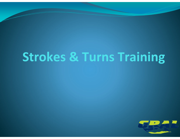# **Strokes & Turns Training**

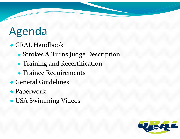# Agenda

- GRAL Handbook
	- Strokes & Turns Judge Description
	- ●**• Training and Recertification**
	- Trainee Requirements
- General Guidelines
- Paperwork
- USA Swimming Videos

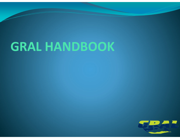# **GRAL HANDBOOK**

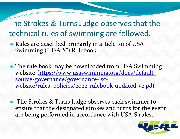#### The Strokes & Turns Judge observes that the technical rules of swimming are followed.

- Rules are described primarily in article <sup>101</sup> of USA Swimming ("USA‐S") Rulebook
- The rule book may be downloaded from USA Swimming website: https://www.usaswimming.org/docs/defaultsource/governance/governance‐lsc‐ website/rules\_policies/2022-rulebook-updated-v2.pdf
- The Strokes & Turns Judge observes each swimmer to ensure that the designated strokes and turns for the event are being performed in accordance with USA‐S rules.

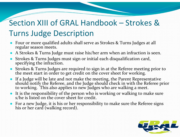#### Section XIII of GRAL Handbook – Strokes &Turns Judge Description

- ● Four or more qualified adults shall serve as Strokes & Turns Judges at all regular season meets.
- ●A Strokes & Turns Judge must raise his/her arm when an infraction is seen.
- ● Strokes & Turns Judges must sign or initial each disqualification card, specifying the infraction.
- ●• Strokes & Turns Judges are required to sign in at the Referee meeting prior to the meet start in order to get credit on the cover sheet for working. meet start in order to ge<sup>t</sup> credit on the cover sheet for working.
- ●• If a If a Judge will be late and not make the meeting, the Parent Representative<br>should notify the Referee, and the Judge should check in with the Referee prior to working. This also applies to new Judges who are walking a meet.
- ●It is the responsibility of the person who is working or walking to make sure s/he is listed on the cover sheet for credit.
- For a new Judge, it is his or her responsibility to make sure the Referee signs his or her card (walking record). or her card (walking record).

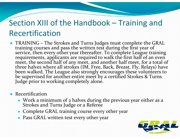#### Section XIII of the Handbook – Training and Recertification

- TRAINING The Strokes and Turns Judges must complete the GRAL training courses and pass the written test during the first year of service, then every other year thereafter. To complete League training requirements, applicants are required to walk the first half of an even meet, the second half of any meet, and another half meet, for a total of three halves where all strokes (IM, Free, Back, Breast, Fly, Relays) have been walked. The League also strongly encourages these volunteers to be supervised for another entire meet by a certified Strokes & Turns Judge prior to working completely alone.
- Recertification
	- Work a minimum of 2 halves during the previous year either as a Strokes and Turns Judge or a Referee and Turns Judge or <sup>a</sup> Referee
	- Complete GRAL training course every other year
	- Pass GRAL written test every other year

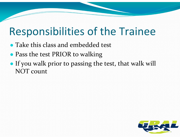## Responsibilities of the Trainee

- Take this class and embedded test
- Pass the test PRIOR to walking
- If you walk prior to passing the test, that walk will NOT count

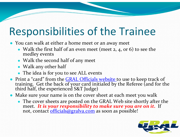## Responsibilities of the Trainee

- You can walk at either a home meet or an away meet
	- Walk the first half of an even meet (meet 2, 4, or 6) to see the medley events
	- Walk the second half of any meet
	- Walk any other half
	- The idea is for you to see ALL events
- Print a "card" from the **GRAL Officials website** to use to keep track of training. Get the back of your card initialed by the Referee (and for the third half, the experienced S&T Judge)
- Make sure your name is on the cover sheet at each meet you walk
	- The cover sheets are posted on the GRAL Web site shortly after the meet. *It is your responsibility to make sure you are on it.* If not, contact officials@gralva.com as soon as possible!

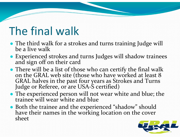## The final walk

- The third walk for a strokes and turns training Judge will be a live walk a live walk
- Experienced strokes and turns Judges will shadow trainees and sign off on their card and sign off on their card
- There will be a list of those who can certify the final walk on the GRAL web site (those who have worked at least 8 GRAL halves in the past four years as Strokes and Turns<br>Judge or Referee, or are USA-S certified) ‐ S certified)
- The experienced person will not wear white and blue; the trainee will wear white and blue
- Both the trainee and the experienced "shadow" should<br>have their names in the working location on the cover have their names in the working location on the cover<br>sheet

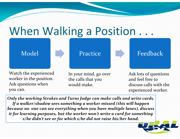## When Walking a Position . . .

Model **Practice** 

Watch the experienced worker in the position. Ask questions when you can.

In your mind, go over the calls that you would make.

Ask lots of questions and feel free to discuss calls with the experienced worker.

Feedback

*Only the working Strokes and Turns Judge can make calls and write cards. If <sup>a</sup> walker/shadow sees something <sup>a</sup> worker missed (this will happen because no one can see everything when you have multiple lanes), discuss it for learning purposes, but the worker won't write <sup>a</sup> card for something s/he didn't see or for which s/he did not raise his/her hand.*

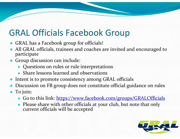#### GRAL Officials Facebook Group

- GRAL has <sup>a</sup> Facebook group for officials!
- ● All GRAL officials, trainees and coaches are invited and encouraged to participate
- Group discussion can include:
	- Questions on rules or rule interpretations
	- Share lessons learned and observations
- Intent is to promote consistency among GRAL officials
- ●Discussion on FB group does not constitute official guidance on rules
- ● To join:
	- Go to this link: https://www.facebook.com/groups/GRALOfficials
	- Please share with other officials at your club, but note that only current officials will be accepted

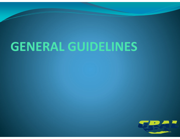# **GENERAL GUIDELINES**

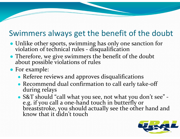#### Swimmers always get the benefit of the doubt

- Unlike other sports, swimming has only one sanction for violation of technical rules ‐ disqualification
- Therefore, we give swimmers the benefit of the doubt about possible violations of rules about possible violations of rules
- For example:
	- Referee reviews and approves disqualifications
	- Recommend dual confirmation to call early take-off during relays
	- S&T should "call what you see, not what you don't see" ‐ e.g. if you call a one ‐hand touch inbreaststroke, you should actually see the other hand and know that it didn't touch

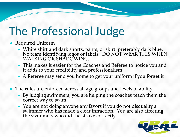## The Professional Judge

- Required Uniform
	- White shirt and dark shorts, pants, or skirt, preferably dark blue. No team identifying logos or labels. DO NOT WEAR THIS WHEN WALKING OR SHADOWING.
	- This makes it easier for the Coaches and Referee to notice you and it adds to your credibility and professionalism
	- A Referee may send you home to get your uniform if you forget it
- The rules are enforced across all age groups and levels of ability.
	- By judging swimmers, you are helping the coaches teach them the correct way to swim.
	- You are not doing anyone any favors if you do not disqualify <sup>a</sup> swimmer who has made a clear infraction. You are also affecting<br>the swimmers who did the stroke correctly. swimmers who did the stroke correctly.

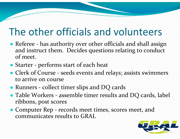### The other officials and volunteers

- Referee has authority over other officials and shall assign and instruct them. Decides questions relating to conduct of meet.
- Starter performs start of each heat
- Clerk of Course seeds events and relays; assists swimmers to arrive on course
- Runners collect timer slips and DQ cards
- Table Workers assemble timer results and DQ cards, label ribbons, pos<sup>t</sup> scores
- Computer Rep records meet times, scores meet, and communicates results to GRAL

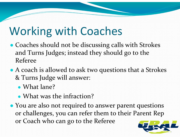## Working with Coaches

- Coaches should not be discussing calls with Strokes and Turns Judges; instead they should go to the Referee
- A coach is allowed to ask two questions that a Strokes & Turns Judge will answer:
	- What lane?
	- What was the infraction?
- You are also not required to answer paren<sup>t</sup> questions or challenges, you can refer them to their Parent Rep or Coach who can go to the Referee

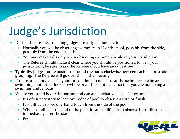# Judge's Jurisdiction

- ● During the pre‐meet meeting Judges are assigned jurisdictions
	- ●Normally you will be observing swimmers in  $\frac{1}{4}$  of the pool, possibly from the side, possibly from the end, or both
	- ●You may make calls only when observing swimmers while in your jurisdiction
	- ●The Referee should make it clear where you should be positioned to view your jurisdiction; be sure to ask the Referee if you have any questions
- ● Typically, Judges rotate positions around the pools clockwise between each major stroke grouping. The Referee will go over this in the meeting.
- ● If there are empty lanes in your jurisdiction, do not stare at the swimmer(s) who are swimming, but rather look elsewhere or at the empty lanes so that you are not giving <sup>a</sup> swimmer undue focus.
- ● Where you stand is very important and can affect what you see. For example:
	- It's often necessary to lean over edge of pool to observe <sup>a</sup> turn or finish
	- ●■ It is difficult to see one-hand touch from the side of the pool
	- ●When standing at the end of the pool, it can be difficult to observe butterfly kicks immediately after the start
	- ●Etc.

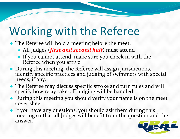## Working with the Referee

- The Referee will hold a meeting before the meet.
	- All Judges (*first and second half*) must attend
	- If you cannot attend, make sure you check in with the Referee when you arrive when you arrive
- During this meeting, the Referee will assign jurisdictions, identify specific practices and judging of swimmers with special needs, if any.
- The Referee may discuss specific stroke and turn rules and will specify how relay take ‐off judging will be handled.
- During this meeting you should verify your name is on the meet cover sheet.
- If you have any questions, you should ask them during this meeting so that all Judges will benefit from the question and the answer.

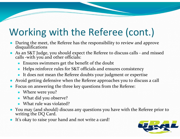## Working with the Referee (cont.)

- ●During the meet, the Referee has the responsibility to review and approve disqualifications
- ●■ As an S&T Judge, you should expect the Referee to discuss calls - and missed calls -with vou and other officials: calls - with you and other officials:
	- ●Ensures swimmers ge<sup>t</sup> the benefit of the doubt
	- ●Helps reinforce rules for S&T officials and ensures consistency
	- It does not mean the Referee doubts your judgment or expertise
- ●Avoid getting defensive when the Referee approaches you to discuss <sup>a</sup> call
- ● Focus on answering the three key questions from the Referee:
	- Where were you?
	- What did you observe?
	- What rule was violated?
- ● You may (and should) discuss any questions you have with the Referee prior to writing the DQ Card.
- ●It's okay to raise your hand and not write a card!

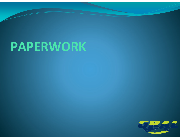# **PAPERWORK**

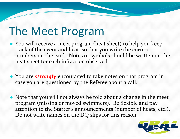## The Meet Program

- You will receive a meet program (heat sheet) to help you keep track of the event and heat, so that you write the correct numbers on the card. Notes or symbols should be written on the heat sheet for each infraction observed.
- You are *strongly* encouraged to take notes on that program in case you are questioned by the Referee about <sup>a</sup> call.
- Note that you will not always be told about a change in the meet program (missing or moved swimmers). Be flexible and pay attention to the Starter's announcements (number of heats, etc.). Do not write names on the DQ slips for this reason.

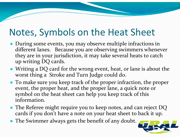### Notes, Symbols on the Heat Sheet

- During some events, you may observe multiple infractions in different lanes. Because you are observing swimmers whenever they are in your jurisdiction, it may take several heats to catch up writing DQ cards.
- Writing a DQ card for the wrong event, heat, or lane is about the worst thing a Stroke and Turn Judge could do.
- To make sure you keep track of the proper infraction, the proper event, the proper heat, and the proper lane, a quick note or symbol on the heat sheet can help you keep track of this information.
- The Referee might require you to keep notes, and can reject DQ cards if you don't have a note on your heat sheet to back it up.
- The Swimmer always gets the benefit of any doubt.

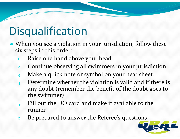## Disqualification

- When you see a violation in your jurisdiction, follow these six steps in this order:
	- 1. Raise one hand above your head
	- 2. Continue observing all swimmers in your jurisdiction
	- 3. Make a quick note or symbol on your heat sheet.
	- 4. Determine whether the violation is valid and if there is any doubt (remember the benefit of the doubt goes to the swimmer)
	- 5. Fill out the DQ card and make it available to the runner
	- 6. Be prepared to answer the Referee's questions

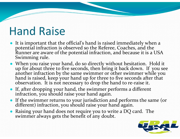## Hand Raise

- It is important that the official's hand is raised immediately when a potential infraction is observed so the Referee, Coaches, and the Runner are aware of the potential infraction, and because it is a USA Swimming rule.
- When you raise your hand, do so directly without hesitation. Hold it up for about three to five seconds, then bring it back down. If you see another infraction by the same swimmer or other swimmer while you<br>hand is raised. keep your hand up for three to five seconds after that hand is raised, keep your hand up for three to five seconds after that is not necessary to drop the hand to re ‐raise it.
- If, after dropping your hand, the swimmer performs a different infraction, you should raise your hand again.
- If the swimmer returns to your jurisdiction and performs the same (or different) infraction, you should raise your hand again.
- ● Raising your hand does not require you to write a DQ card. The swimmer always gets the benefit of any doubt.

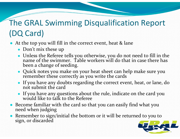#### The GRAL Swimming Disqualification Report (DQ Card)

- At the top you will fill in the correct event, heat & lane
	- Don't mix these up
	- Unless the Referee tells you otherwise, you do not need to fill in the name of the swimmer. Table workers will do that in case there has been a change of seeding.
	- Quick notes you make on your heat sheet can help make sure you remember these correctly as you write the cards these correctly as you write the cards
	- If you have any doubts regarding the correct event, heat, or lane, do not submit the card
	- If you have any questions about the rule, indicate on the card you would like to talk to the Referee would like to talk to the Referee
- Become familiar with the card so that you can easily find what you need when judging when judging
- ● Remember to sign/initial the bottom or it will be returned to you to sign, or discarded

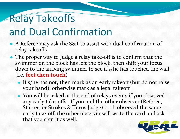# Relay Takeoffs

### and Dual Confirmation

- A Referee may ask the S&T to assist with dual confirmation of relay takeoffs
- The proper way to Judge a relay take-off is to confirm that the swimmer on the block has left the block, then shift your focus down to the arriving swimmer to see if s/he has touched the wall (i.e. **feet then touch** )
	- If s/he has not, then mark as an early takeoff (but do not raise your hand); otherwise mark as a legal takeoff
	- You will be asked at the end of relays events if you observed any early take ‐offs. If you and the other observer (Referee, Starter, or Strokes & Turns Judge) both observed the same early take ‐off, the other observer will write the card and ask that you sign it as well.

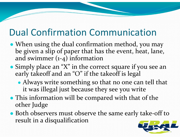### Dual Confirmation Communication

- When using the dual confirmation method, you may be given a slip of paper that has the event, heat, lane, and swimmer (1 ‐4) information
- Simply place an "X" in the correct square if you see an early takeoff and an "O" if the takeoff is legal
	- ● Always write something so that no one can tell that it was illegal just because they see you write
- This information will be compared with that of the other Judge
- Both observers must observe the same early take-off to result in a disqualification

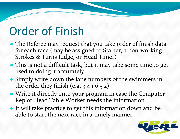## Order of Finish

- The Referee may reques<sup>t</sup> that you take order of finish data for each race (may be assigned to Starter, a non ‐working Strokes & Turns Judge, or Head Timer)
- This is not a difficult task, but it may take some time to ge<sup>t</sup> used to doing it accurately
- Simply write down the lane numbers of the swimmers in the order they finish (e.g. 3 4 1 6 <sup>5</sup> 2)
- Write it directly onto your program in case the Computer Rep or Head Table Worker needs the information
- It will take practice to ge<sup>t</sup> this information down and be able to start the next race in a timely manner.

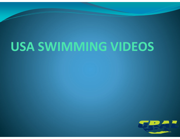# **USA SWIMMING VIDEOS**

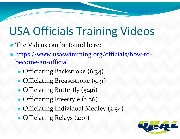## USA Officials Training Videos

- The Videos can be found here:
- https://www.usaswimming.org/officials/how-tobecome‐an‐official
	- ●• Officiating Backstroke (6:34)
	- ●• Officiating Breaststroke (5:31)
	- ●• Officiating Butterfly (5:46)
	- ●Officiating Freestyle (2:26)
	- ●• Officiating Individual Medley (2:34)
	- ●Officiating Relays (2:01)

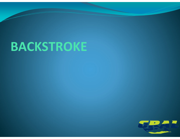# **BACKSTROKE**

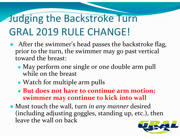## Judging the Backstroke Turn GRAL 2019 RULE CHANGE!

- After the swimmer's head passes the backstroke flag, prior to the turn, the swimmer may go pas<sup>t</sup> vertical toward the breast:
	- ● May perform one single or one double arm pull while on the breast
	- ●Watch for multiple arm pulls
	- **But does not have to continue arm motion; swimmer may continue to kick into wall**
- Must touch the wall, turn *in any manner* desired (including adjusting goggles, standing up, etc.), then leave the wall on back

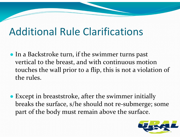### Additional Rule Clarifications

- In <sup>a</sup> Backstroke turn, if the swimmer turns pas<sup>t</sup> vertical to the breast, and with continuous motion touches the wall prior to <sup>a</sup> flip, this is not <sup>a</sup> violation of the rules.
- Except in breaststroke, after the swimmer initially breaks the surface, s/he should not re‐submerge; some par<sup>t</sup> of the body must remain above the surface.

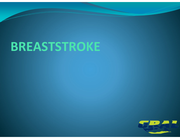# **BREASTSTROKE**

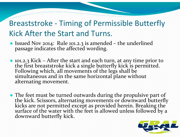#### Breaststroke ‐ Timing of Permissible Butterfly Kick After the Start and Turns.

- Issued Nov 2014: Rule 101.2.3 is amended the underlined passage indicates the affected wording.
- 101.2.3 Kick After the start and each turn, at any time prior to • 101.2.3 Kick – After the start and each turn, at any time prior to the first breaststroke kick a single butterfly kick is permitted. Following which, all movements of the legs shall be simultaneous and in the same horizo simultaneous and in the same horizontal plane without<br>alternating movement.
- The feet must be turned outwards during the propulsive part of the kick. Scissors, alternating movements or downward butterfl the kick. Scissors, alternating movements or downward butterfly<br>kicks are not permitted except as provided herein. Breaking the<br>surface of the water with the feet is allowed unless followed by a<br>downward butterfly kick. downward butterfly kick.

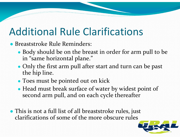### Additional Rule Clarifications

● Breaststroke Rule Reminders:

- Body should be on the breast in order for arm pull to be in "same horizontal plane."
- Only the first arm pull after start and turn can be pas<sup>t</sup> the hip line.
- Toes must be pointed out on kick
- Head must break surface of water by widest point of second arm pull, and on each cycle thereafter
- This is not <sup>a</sup> full list of all breaststroke rules, just clarifications of some of the more obscure rules

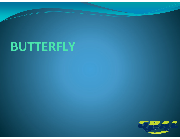# **BUTTERFLY**

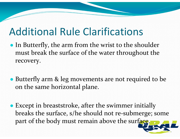### Additional Rule Clarifications

- In Butterfly, the arm from the wrist to the shoulder must break the surface of the water throughout the recovery.
- Butterfly arm & leg movements are not required to be on the same horizontal plane.
- Except in breaststroke, after the swimmer initially breaks the surface, s/he should not re‐submerge; some part of the body must remain above the surface.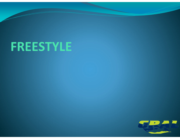# **FREESTYLE**

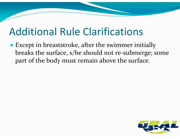### Additional Rule Clarifications

● Except in breaststroke, after the swimmer initially breaks the surface, s/he should not re‐submerge; some par<sup>t</sup> of the body must remain above the surface.

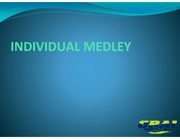# **INDIVIDUAL MEDLEY**

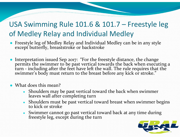#### USA Swimming Rule 101.6 & 101.7 – Freestyle leg of Medley Relay and Individual Medley

- $\bullet$  Freestyle leg of Medley Relay and Individual Medley can be in any style excep<sup>t</sup> butterfly, breaststroke or backstroke
- ●• Interpretation issued Sep 2017: "For the freestyle distance, the change permits the swimmer to be pas<sup>t</sup> vertical towards the back when executing <sup>a</sup> turn - including after the feet have left the wall. The rule requires that the<br>swimmer's body must return to the breast before any kick or stroke." swimmer's body must return to the breast before any kick or stroke."
- What does this mean?
	- ●Shoulders may be past vertical toward the back when swimmer leaves wall after completing turn
	- ● Shoulders must be pas<sup>t</sup> vertical toward breast when swimmer begins to kick or stroke
	- ●Swimmer cannot go pas<sup>t</sup> vertical toward back at any time during freestyle leg, excep<sup>t</sup> during the turn

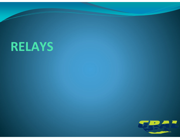